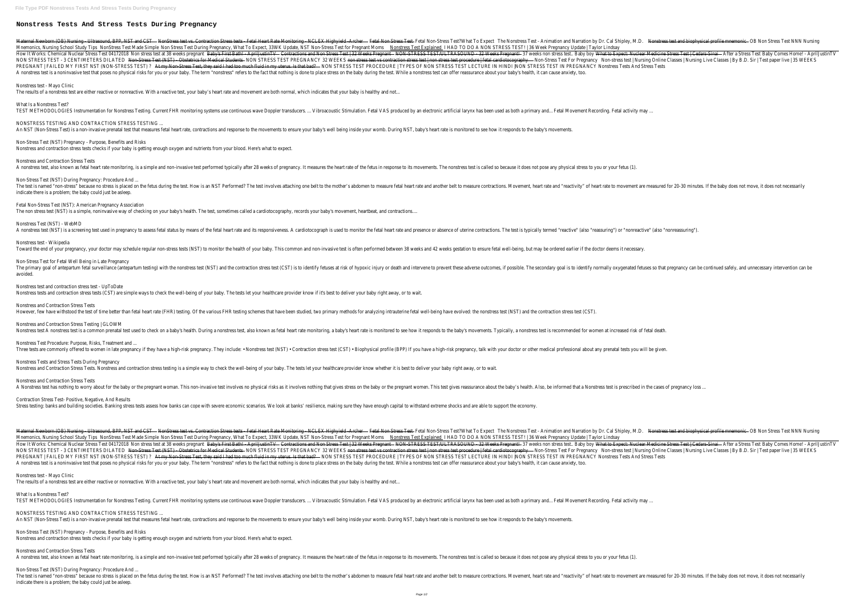## **Nonstress Tests And Stress Tests During Pregnancy**

Maternal Newborn (OB) Nursing - Ultrasound, BPPNNSSTaessCGSEt vs. Contraction Stress tests - Fetal Heart Rate MonitoringFet&CLGX Biglesial dealtholorStress Test - Animation and Narration by Dr. Contraction Stress tests - F Mnemonics, Nursing School StNowSTipess Test Made StompStaress Test During Pregnancy, What To Expect, 33WK Update, NST Non-Stress Test Axame in Mon STRESS TEST! | 36 Week Pregnancy Update | Taylor Lindsay How It Works: Chemical Nuclear Stress Test 6tre320e8t at 38 wee<del>BsbyrsginattBath! AprilluCtinTivactions and Non Stress Test | 32 W@AksTREgGaTEST/ULTRASOUND - 32 Weeks Bi7egweeks non stress testWBabydoExpect: Nuclear Medici</del> NON STRESS TEST - 3 CENTIMETERS DIL<del>NJELStress Test (NST) - Obstetrics for M</del>NMQNaSJRE88nTEST PREGNANCY 32 W<del>EEKStress test | non stress test | non stress test | non stress test | Nursing Online Classes | Nursing Live Clas</del> PREGNANT | FAILED MY FIRST NST (NON-STRESS THESTT) ?Non-Stress Test, they said I had too much fluid in mWQNb&IRESStITEST DRECTURE IN HINDI |NON STRESS TEST IN PREGNANCY Nonstress Tests And Stress Tests A nonstress test is a noninvasive test that poses no physical risks for you or your baby. The term "nonstress" refers to the fact that nothing is done to place stress on the baby during the test. While a nonstress test can Nonstress test - Mayo Clinic The results of a nonstress test are either reactive or nonreactive. With a reactive test, your baby's heart rate and movement are both normal, which indicates that your baby is healthy and not... What Is a Nonstress Test? TEST METHODOLOGIES Instrumentation for Nonstress Testing. Current FHR monitoring systems use continuous wave Doppler transducers. ... Vibroacoustic Stimulation. Fetal VAS produced by an electronic artificial larynx has bee NONSTRESS TESTING AND CONTRACTION STRESS TESTING ... An NST (Non-Stress Test) is a non-invasive prenatal test that measures fetal heart rate, contractions and response to the movements to ensure your baby's heart rate is monitored to see how it responds to the baby's movemen Non-Stress Test (NST) Pregnancy - Purpose, Benefits and Risks

A nonstress test, also known as fetal heart rate monitoring, is a simple and non-invasive test performed typically after 28 weeks of pregnancy. It measures the heart rate of the fetus in response to its movements. The nons Non-Stress Test (NST) During Pregnancy: Procedure And ... The test is named "non-stress" because no stress is placed on the fetus during the test. How is an NST Performed? The test involves attaching one belt to the mother's abdomen to measure fetal heart rate and another belt to indicate there is a problem; the baby could just be asleep.

Nonstress Test (NST) - WebMD A nonstress test (NST) is a screening test used in pregnancy to assess fetal status by means of the fetal heart rate and its responsiveness. A cardiotocograph is used to monitor the fetal heart rate and presence or absence

Nonstress tests and contraction stress tests (CST) are simple ways to check the well-being of your baby. The tests let your healthcare provider know if it's best to deliver your baby right away, or to wait. Nonstress and Contraction Stress Tests However, few have withstood the test of time better than fetal heart rate (FHR) testing. Of the various FHR testing schemes that have been studied, two primary methods for analyzing intrauterine fetal well-being have evolv Nonstress and Contraction Stress Testing | GLOWM Nonstress test A nonstress test is a common prenatal test used to check on a baby's health. During a nonstress test, also known as fetal heart rate is monitoring, a baby's heart rate is monitored to see how it responds to Nonstress Test Procedure: Purpose, Risks, Treatment and ... Three tests are commonly offered to women in late pregnancy if they have a high-risk pregnancy. They include: • Nonstress test (NST) • Contraction stress test (CST) • Biophysical profile (BPP) If you have a high-risk pregn Nonstress Tests and Stress Tests During Pregnancy Nonstress and Contraction Stress Tests. Nonstress and contraction stress testing is a simple way to check the well-being of your baby. The tests let your baby. The tests let your healthcare provider know whether it is best Nonstress and Contraction Stress Tests A Nonstress test has nothing to worry about for the baby or the pregnant woman. This non-invasive test involves no physical risks as it involves nothing that gives stress on the baby or the pregnant women. This test gives Contraction Stress Test- Positive, Negative, And Results Stress testing: banks and building societies. Banking stress tests assess how banks can cope with severe economic scenarios. We look at banks' resilience, making sure they have enough capital to withstand extreme shocks an

Maternal Newborn (OB) Nursing - Ultrasound, BPPNNSStacssGSSEt vs. Contraction Stress tests - Fetal Heart Rate MonitoringFetACNGK BithesisFilles and Narration by Dr. Nean-Stripts of Additional biophysical profiles Test NNN Mnemonics, Nursing School StNobyStipess Test Made NompSeress Test During Pregnancy, What To Expect, 33WK Update, NST Non-Stress Rest and Meding and NON STRESS TEST! | 36 Week Pregnancy Update | Taylor Lindsay How It Works: Chemical Nuclear Stress Test 6tre320e8t at 38 wee<del>RsbytsginattBath! - AprilluCtinTivactions and Non Stress Test | 32 WOOKSTREGGaFtEST/ULTRASOUND - 32 Weeks Bi7egweekts non stress testWHBabytobExpect: Nuclear </del> NON STRESS TEST - 3 CENTIMETERS DIL<del>NJELStress Test (NST) - Obstetrics for M</del>NMQNaSSRE88nTEST PREGNANCY 32 W<del>EEKStress test | non stress test | non stress test | non stress test | Nursing Online Classes | Nursing Live Clas</del> PREGNANT | FAILED MY FIRST NST (NON-STRESS <del>PESTA)?Non-Stress Test, they said I had too much fluid in m</del>WQite&J\$RESSTEST LECTURE IN HINDI |NON STRESS TEST IN PREGNANCY Nonstress Tests And Stress Tests A nonstress test is a noninvasive test that poses no physical risks for you or your baby. The term "nonstress" refers to the fact that nothing is done to place stress on the baby during the test. While a nonstress test can

Nonstress and contraction stress tests checks if your baby is getting enough oxygen and nutrients from your blood. Here's what to expect.

Nonstress and Contraction Stress Tests

Fetal Non-Stress Test (NST): American Pregnancy Association The non stress test (NST) is a simple, noninvasive way of checking on your baby's health. The test, sometimes called a cardiotocography, records your baby's movement, heartbeat, and contractions....

Nonstress test - Wikipedia

Toward the end of your pregnancy, your doctor may schedule regular non-stress tests (NST) to monitor the health of your baby. This common and non-invasive test is often performed between 38 weeks gestation to ensure fetal

NONSTRESS TESTING AND CONTRACTION STRESS TESTING ... An NST (Non-Stress Test) is a non-invasive prenatal test that measures fetal heart rate, contractions and response to the movements to ensure your baby's heart rate is monitored to see how it responds to the baby's movemen

Non-Stress Test for Fetal Well Being in Late Pregnancy The primary goal of antepartum fetal surveillance (antepartum testing) with the nonstress test (NST) and the contraction stress test (CST) is to identify fetuses at risk of hypoxic injury or death and intervene to prevent avoided.

Nonstress and Contraction Stress Tests A nonstress test, also known as fetal heart rate monitoring, is a simple and non-invasive test performed typically after 28 weeks of pregnancy. It measures the heart rate of the fetus in response to its movements. The nons

Nonstress test and contraction stress test - UpToDate

## Nonstress test - Mayo Clinic

The results of a nonstress test are either reactive or nonreactive. With a reactive test, your baby's heart rate and movement are both normal, which indicates that your baby is healthy and not...

What Is a Nonstress Test?

TEST METHODOLOGIES Instrumentation for Nonstress Testing. Current FHR monitoring systems use continuous wave Doppler transducers. ... Vibroacoustic Stimulation. Fetal VAS produced by an electronic artificial larynx has bee

Non-Stress Test (NST) Pregnancy - Purpose, Benefits and Risks Nonstress and contraction stress tests checks if your baby is getting enough oxygen and nutrients from your blood. Here's what to expect.

Non-Stress Test (NST) During Pregnancy: Procedure And ... The test is named "non-stress" because no stress is placed on the fetus during the test. How is an NST Performed? The test involves attaching one belt to the mother's abdomen to measure fetal heart rate and another belt to indicate there is a problem; the baby could just be asleep.